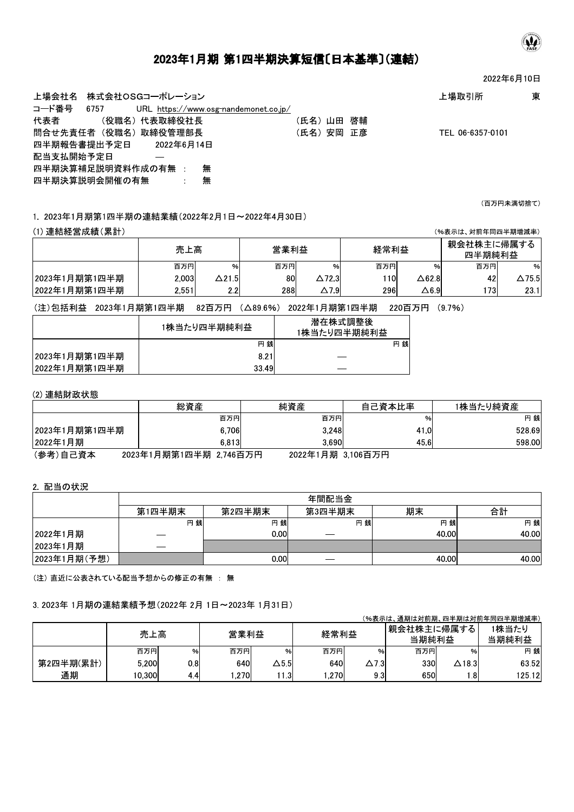# 2023年1月期 第1四半期決算短信[日本基準](連結)

2022年6月10日

上場取引所 東

TEL 06-6357-0101

| 上場会社名 株式会社OSGコーポレーション  |      |              |                                       |           |  |
|------------------------|------|--------------|---------------------------------------|-----------|--|
| コード番号                  | 6757 |              | URL https://www.osg-nandemonet.co.jp/ |           |  |
| 代表者                    |      | (役職名)代表取締役社長 |                                       | (氏名)山田 啓輔 |  |
| 問合せ先青任者(役職名)取締役管理部長    |      |              |                                       | (氏名)安岡 正彦 |  |
| 四半期報告書提出予定日 2022年6月14日 |      |              |                                       |           |  |
| 配当支払開始予定日              |      |              |                                       |           |  |
| 四半期決算補足説明資料作成の有無 :     |      |              | 無                                     |           |  |
| 四半期決算説明会開催の有無          |      |              | 無                                     |           |  |

1. 2023年1月期第1四半期の連結業績(2022年2月1日~2022年4月30日)

(1) 連結経堂成績(思計)

| \   / 建心地生日/火候\天叶/ |        |        |      |                  |            |        |                      |       |
|--------------------|--------|--------|------|------------------|------------|--------|----------------------|-------|
|                    | 売上高    |        | 営業利益 |                  | 経常利益       |        | 親会社株主に帰属する<br>四半期純利益 |       |
|                    | 百万円    | %      | 百万円  | %                | 百万円        | %      | 百万円                  | %     |
| 2023年1月期第1四半期      | 2.003l | △21.5Ⅰ | 80   | $\triangle$ 72.3 | l 10l      | ∆62.8I | 42'                  | △75.5 |
| 2022年1月期第1四半期      | 2.551  | 2.2    | 288l | ∆7.9I            | <b>296</b> | ∆6.9I  | ' 731                | 23.1  |

(注)包括利益 2023年1月期第1四半期 82百万円 (△89.6%) 2022年1月期第1四半期 220百万円 (9.7%)

|               | 1株当たり四半期純利益 | 潜在株式調整後<br>1株当たり四半期純利益 |
|---------------|-------------|------------------------|
|               | 円銭          | 円 銭                    |
| 2023年1月期第1四半期 | 8.21        |                        |
| 2022年1月期第1四半期 | 33.49       |                        |

### (2) 連結財政状態

|               | 総資産                    | 純資産               | 自己資本比率 | 1株当たり純資産 |
|---------------|------------------------|-------------------|--------|----------|
|               | 百万円                    | 百万円               | %1     | 円銭       |
| 2023年1月期第1四半期 | 6.706l                 | 3.248             | 41.OI  | 528.69   |
| 2022年1月期      | 6.813                  | 3.690             | 45.6   | 598.00   |
| (参考)白己咨木      | 2023年1日期第1四半期 2.746百万円 | 2022年1日期 3.106百万円 |        |          |

(参考)目己貸不 2023年1月期第1四半期 2,/46白万円 2022年1月期 3,106白万円

### 2. 配当の状況

|              | 年間配当金  |        |        |       |       |  |  |  |
|--------------|--------|--------|--------|-------|-------|--|--|--|
|              | 第1四半期末 | 第2四半期末 | 第3四半期末 | 期末    | 合計    |  |  |  |
|              | 円銭     | 円 銭    | 円銭     | 円銭    | 円銭    |  |  |  |
| 2022年1月期     |        | 0.00   |        | 40.00 | 40.00 |  |  |  |
| 2023年1月期     |        |        |        |       |       |  |  |  |
| 2023年1月期(予想) |        | 0.00   |        | 40.00 | 40.00 |  |  |  |

(注) 直近に公表されている配当予想からの修正の有無:無

## 3. 2023年1月期の連結業績予想(2022年2月1日~2023年1月31日)

|           |        |      |      |               |      |              |                     |               | (%表示は、通期は対前期、四半期は対前年同四半期増減率) |
|-----------|--------|------|------|---------------|------|--------------|---------------------|---------------|------------------------------|
|           | 売上高    |      | 営業利益 |               | 経常利益 |              | 親会社株主に帰属する<br>当期純利益 |               | 1株当たり<br>当期純利益               |
|           | 百万円    | %    | 百万円  | $\%$          | 百万円  | %            | 百万円                 | %1            | 円銭                           |
| 第2四半期(累計) | 5,200  | 0.81 | 640  | $\Delta$ 5.51 | 640l | $\Delta$ 7.3 | 330l                | $\Delta$ 18.3 | 63.52                        |
| 通期        | 10.300 | 4.4  | .270 | l 1.31        | .270 | 9.31         | 650                 | ا8،           | 125.121                      |

(百万円未満切捨て)

(%表示は、対前年同四半期増減率)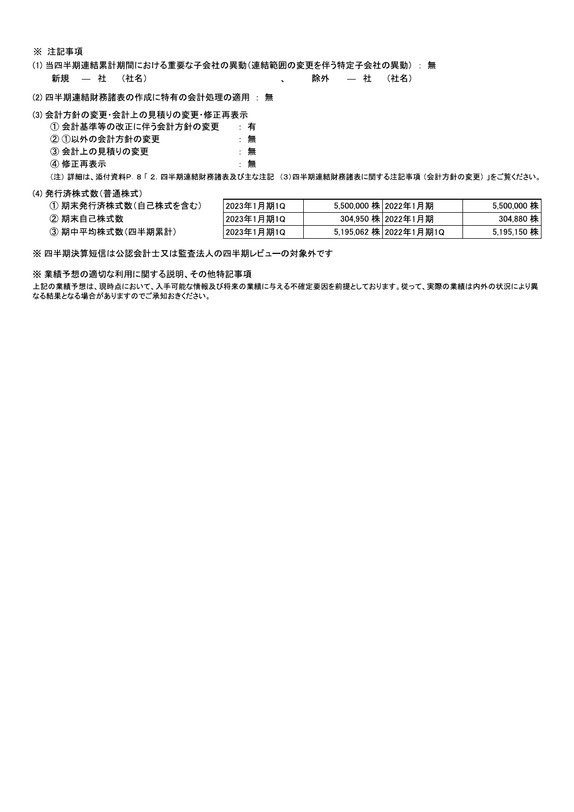- ※ 注記事項
- (1) 当四半期連結累計期間における重要な子会社の異動(連結範囲の変更を伴う特定子会社の異動) : 無 新規 - 社 (社名) 除外 — 社 (社名)  $\mathbf{R}^{\mathbf{r}}$

:無

- (2) 四半期連結財務諸表の作成に特有の会計処理の適用 : 無
- (3) 会計方針の変更·会計上の見積りの変更·修正再表示
	- 1 会計基準等の改正に伴う会計方針の変更 :有
	- 20以外の会計方針の変更 :無
	- 3 会計上の見積りの変更 :無
	- 4 修正再表示

(注) 詳細は、添付資料P. 8 「2. 四半期連結財務諸表及び主な注記 (3)四半期連結財務諸表に関する注記事項 (会計方針の変更) 」をご覧ください。

(4) 発行済株式数(普通株式)

| 七门 /月 『个人〉 玖 \ 日 J也 『个人\ / |
|----------------------------|
| ① 期末発行済株式数(自己株式を含む)        |

3 期中平均株式数(四半期累計)

2 期末自己株式数

5,500,000 株 2022年1月期 5,500,000 株 2023年1月期1Q 304,880 株 304,950 株 2022年1月期 2023年1月期1Q 2023年1月期1Q 5,195,062 株 2022年1月期1Q 5,195,150 株

※四半期決算短信は公認会計士又は監査法人の四半期レビューの対象外です

※業績予想の適切な利用に関する説明、その他特記事項

上記の業績予想は、現時点において、入手可能な情報及び将来の業績に与える不確定要因を前提としております。従って、実際の業績は内外の状況により異 なる結果となる場合がありますのでご承知おきください。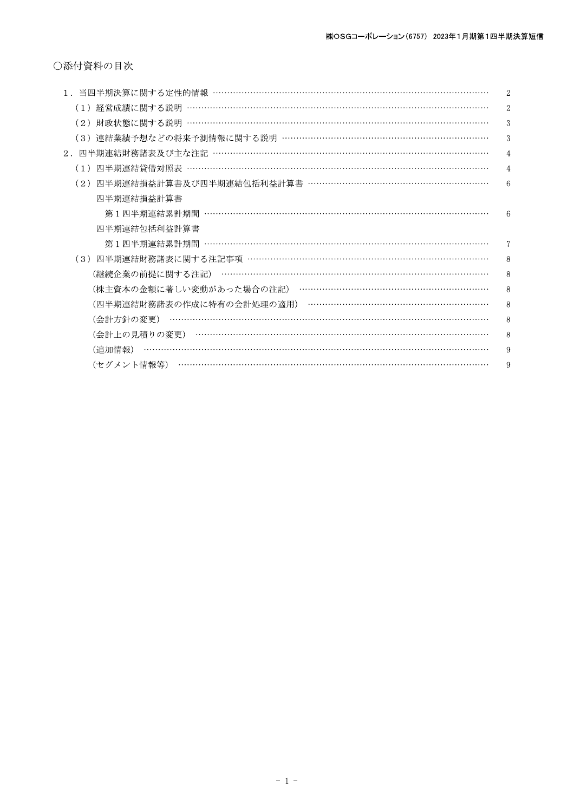## ○添付資料の目次

| 1. 当四半期決算に関する定性的情報 ………………………………………………………………………………………… | 2 |
|-------------------------------------------------------|---|
| 経営成績に関する説明 ……………………………………………………………………………………………<br>(1) | 2 |
| 財政状態に関する説明 ……………………………………………………………………………………………<br>(2) | 3 |
| 連結業績予想などの将来予測情報に関する説明 ……………………………………………………………<br>(3)  | 3 |
| 2.四半期連結財務諸表及び主な注記 ……………………………………………………………………………………    | 4 |
| (1)                                                   | 4 |
| 四半期連結損益計算書及び四半期連結包括利益計算書 ………………………………………………………<br>(2) | 6 |
| 四半期連結損益計算書                                            |   |
| 第1四半期連結累計期間                                           | 6 |
| 四半期連結包括利益計算書                                          |   |
| 第1四半期連結累計期間                                           |   |
| 四半期連結財務諸表に関する注記事項 …………………………………………………………………………<br>(3) | 8 |
| (継続企業の前提に関する注記)                                       | 8 |
| (株主資本の金額に著しい変動があった場合の注記)                              | 8 |
| (四半期連結財務諸表の作成に特有の会計処理の適用)                             | 8 |
| (会計方針の変更)                                             | 8 |
| (会計上の見積りの変更)                                          | 8 |
| (追加情報)                                                | 9 |
| (セグメント情報等)                                            | 9 |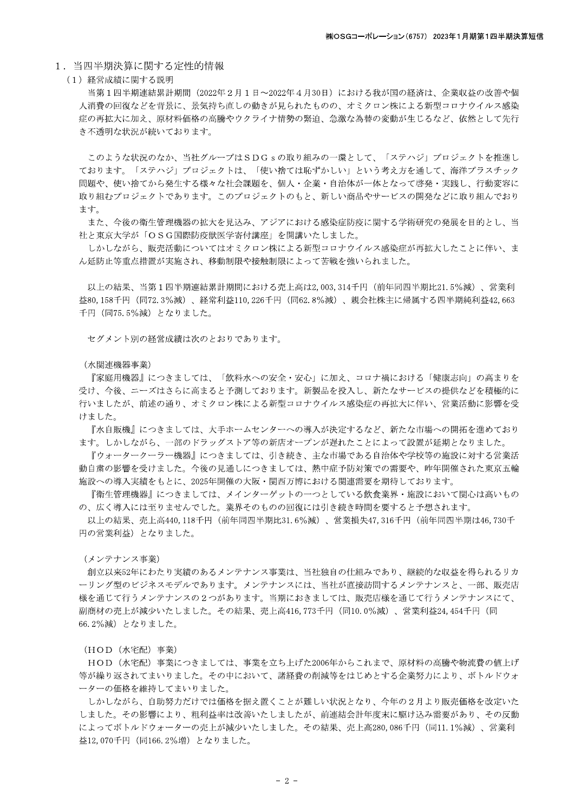### 1. 当四半期決算に関する定性的情報

#### (1) 経営成績に関する説明

当第1四半期連結累計期間 (2022年2月1日~2022年4月30日) における我が国の経済は、企業収益の改善や個 人消費の回復などを背景に、景気持ち直しの動きが見られたものの、オミクロン株による新型コロナウイルス感染 症の再拡大に加え、原材料価格の高騰やウクライナ情勢の緊迫、急激な為替の変動が生じるなど、依然として先行 き不透明な状況が続いております。

このような状況のなか、当社グループはSDGsの取り組みの一環として、「ステハジ」プロジェクトを推進し ております。「ステハジ」プロジェクトは、「使い捨ては恥ずかしい」という考え方を通して、海洋プラスチック 問題や、使い捨てから発生する様々な社会課題を、個人・企業・自治体が一体となって啓発・実践し、行動変容に 取り組むプロジェクトであります。このプロジェクトのもと、新しい商品やサービスの開発などに取り組んでおり キオー

また、今後の衛生管理機器の拡大を見込み、アジアにおける感染症防疫に関する学術研究の発展を目的とし、当 社と東京大学が「OSG国際防疫獣医学寄付講座」を開講いたしました。

しかしながら、販売活動についてはオミクロン株による新型コロナウイルス感染症が再拡大したことに伴い、ま ん延防止等重点措置が実施され、移動制限や接触制限によって苦戦を強いられました。

以上の結果、当第1四半期連結累計期間における売上高は2,003,314千円 (前年同四半期比21.5%減)、営業利 益80,158千円 (同72.3%減)、経常利益110,226千円 (同62.8%減)、親会社株主に帰属する四半期純利益42,663 千円 (同75.5%減) となりました。

セグメント別の経営成績は次のとおりであります。

#### (水関連機器事業)

『家庭用機器』につきましては、「飲料水への安全·安心」に加え、コロナ禍における「健康志向」の高まりを 受け、今後、ニーズはさらに高まると予測しております。新製品を投入し、新たなサービスの提供などを積極的に 行いましたが、前述の通り、オミクロン株による新型コロナウイルス感染症の再拡大に伴い、営業活動に影響を受 けました。

『水自販機』につきましては、大手ホームセンターへの導入が決定するなど、新たな市場への開拓を進めており ます。しかしながら、一部のドラッグストア等の新店オープンが遅れたことによって設置が延期となりました。

『ウォータークーラー機器』につきましては、引き続き、主な市場である自治体や学校等の施設に対する営業活 動自粛の影響を受けました。今後の見通しにつきましては、熱中症予防対策での需要や、昨年開催された東京五輪 施設への導入実績をもとに、2025年開催の大阪·関西万博における関連需要を期待しております。

『衛生管理機器』につきましては、メインターゲットの一つとしている飲食業界・施設において関心は高いもの の、広く導入には至りませんでした。業界そのものの回復には引き続き時間を要すると予想されます。

以上の結果、売上高440,118千円(前年同四半期比31.6%減)、営業損失47,316千円(前年同四半期は46,730千 円の営業利益)となりました。

#### (メンテナンス事業)

創立以来52年にわたり実績のあるメンテナンス事業は、当社独自の仕組みであり、継続的な収益を得られるリカ ーリング型のビジネスモデルであります。メンテナンスには、当社が直接訪問するメンテナンスと、一部、販売店 様を通じて行うメンテナンスの2つがあります。当期におきましては、販売店様を通じて行うメンテナンスにて、 副商材の売上が減少いたしました。その結果、売上高416,773千円 (同10.0%減)、営業利益24,454千円 (同 66.2%減)となりました。

(HOD (水宅配) 事業)

HOD (水宅配) 事業につきましては、事業を立ち上げた2006年からこれまで、原材料の高騰や物流費の値上げ 等が繰り返されてまいりました。その中において、諸経費の削減等をはじめとする企業努力により、ボトルドウォ ーターの価格を維持してまいりました。

しかしながら、自助努力だけでは価格を据え置くことが難しい状況となり、今年の2月より販売価格を改定いた しました。その影響により、粗利益率は改善いたしましたが、前連結会計年度末に駆け込み需要があり、その反動 によってボトルドウォーターの売上が減少いたしました。その結果、売上高280,086千円 (同11.1%減)、営業利 益12,070千円 (同166.2%増) となりました。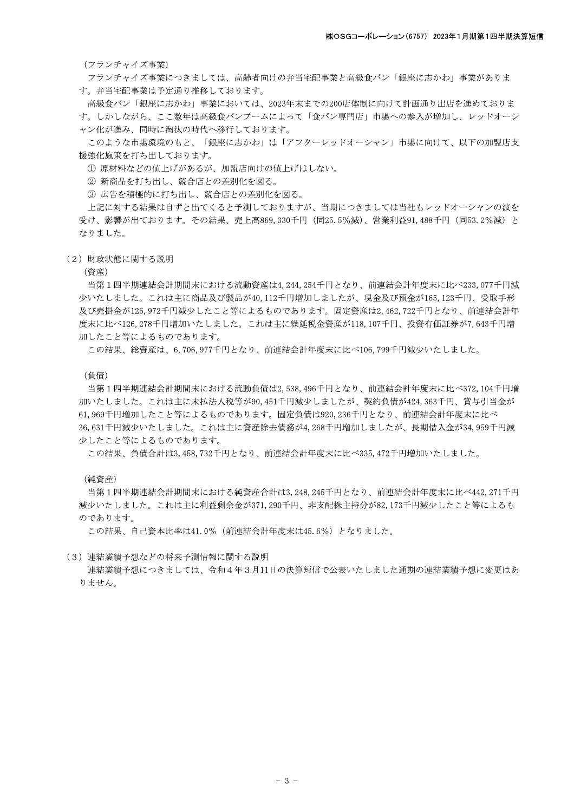(フランチャイズ事業)

フランチャイズ事業につきましては、高齢者向けの弁当宅配事業と高級食パン「銀座に志かわ」事業がありま す。弁当宅配事業は予定通り推移しております。

高級食パン「銀座に志かわ」事業においては、2023年末までの200店体制に向けて計画通り出店を進めておりま す。しかしながら、ここ数年は高級食パンブームによって「食パン専門店」市場への参入が増加し、レッドオーシ ャン化が進み、同時に淘汰の時代へ移行しております。

このような市場環境のもと、「銀座に志かわ」は「アフターレッドオーシャン」市場に向けて、以下の加盟店支 援強化施策を打ち出しております。

1 原材料などの値上げがあるが、加盟店向けの値上げはしない。

② 新商品を打ち出し、競合店との差別化を図る。

3 広告を積極的に打ち出し、競合店との差別化を図る。

上記に対する結果は自ずと出てくると予測しておりますが、当期につきましては当社もレッドオーシャンの波を 受け、影響が出ております。その結果、売上高869,330千円 (同25.5%減)、営業利益91,488千円 (同53.2%減) と なりました。

(2) 財政状態に関する説明

(資産)

当第1四半期連結会計期間末における流動資産は4,244,254千円となり、前連結会計年度末に比べ233,077千円減 少いたしました。これは主に商品及び製品が40,112千円増加しましたが、現金及び預金が165,123千円、受取手形 及び売掛金が126,972千円減少したこと等によるものであります。固定資産は2,462,722千円となり、前連結会計年 度末に比べ126,278千円増加いたしました。これは主に繰延税金資産が118,107千円、投資有価証券が7,643千円増 加したこと等によるものであります。

この結果、総資産は、6,706,977千円となり、前連結会計年度末に比べ106,799千円減少いたしました。

(負債)

当第1四半期連結会計期間末における流動負債は2,538,496千円となり、前連結会計年度末に比べ372,104千円増 加いたしました。これは主に未払法人税等が90,451千円減少しましたが、契約負債が424,363千円、賞与引当金が 61,969千円増加したこと等によるものであります。固定負債は920,236千円となり、前連結会計年度末に比べ 36,631千円減少いたしました。これは主に資産除去債務が4,268千円増加しましたが、長期借入金が34,959千円減 少したこと等によるものであります。

この結果、負債合計は3,458,732千円となり、前連結会計年度末に比べ335,472千円増加いたしました。

(純資産)

当第1四半期連結会計期間末における純資産合計は3.248.245千円となり、前連結会計年度末に比べ442.271千円 減少いたしました。これは主に利益剰余金が371,290千円、非支配株主持分が82,173千円減少したこと等によるも のであります。

この結果、自己資本比率は41.0% (前連結会計年度末は45.6%) となりました。

(3) 連結業績予想などの将来予測情報に関する説明

連結業績予想につきましては、令和4年3月11日の決算短信で公表いたしました通期の連結業績予想に変更はあ りません。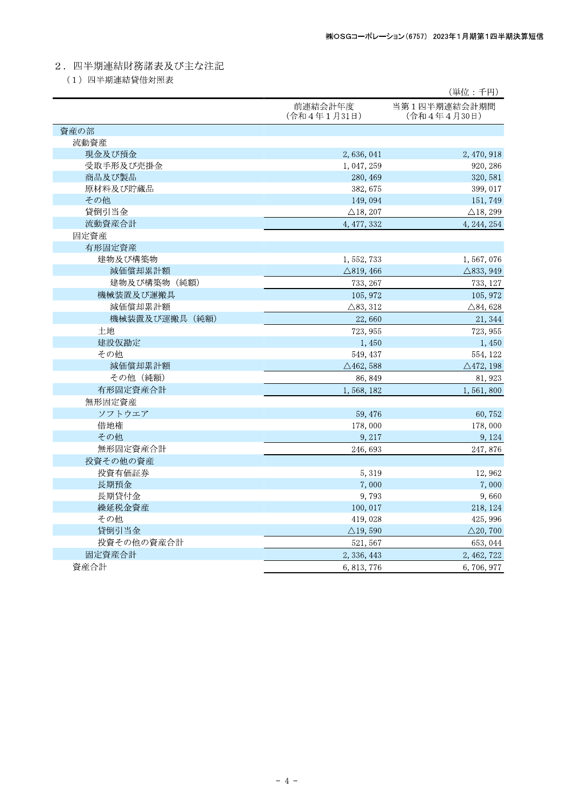## 2. 四半期連結財務諸表及び主な注記

(1) 四半期連結貸借対照表

|                |                        | (単位:千円)                     |
|----------------|------------------------|-----------------------------|
|                | 前連結会計年度<br>(令和4年1月31日) | 当第1四半期連結会計期間<br>(令和4年4月30日) |
| 資産の部           |                        |                             |
| 流動資産           |                        |                             |
| 現金及び預金         | 2,636,041              | 2, 470, 918                 |
| 受取手形及び売掛金      | 1, 047, 259            | 920, 286                    |
| 商品及び製品         | 280, 469               | 320, 581                    |
| 原材料及び貯蔵品       | 382, 675               | 399, 017                    |
| その他            | 149,094                | 151,749                     |
| 貸倒引当金          | $\triangle$ 18, 207    | $\triangle$ 18, 299         |
| 流動資産合計         | 4, 477, 332            | 4, 244, 254                 |
| 固定資産           |                        |                             |
| 有形固定資産         |                        |                             |
| 建物及び構築物        | 1, 552, 733            | 1,567,076                   |
| 減価償却累計額        | $\triangle$ 819, 466   | $\triangle$ 833, 949        |
| 建物及び構築物 (純額)   | 733, 267               | 733, 127                    |
| 機械装置及び運搬具      | 105, 972               | 105, 972                    |
| 減価償却累計額        | $\triangle$ 83, 312    | $\triangle$ 84, 628         |
| 機械装置及び運搬具 (純額) | 22,660                 | 21, 344                     |
| 土地             | 723, 955               | 723, 955                    |
| 建設仮勘定          | 1,450                  | 1,450                       |
| その他            | 549, 437               | 554, 122                    |
| 減価償却累計額        | $\triangle$ 462, 588   | $\triangle$ 472, 198        |
| その他 (純額)       | 86, 849                | 81, 923                     |
| 有形固定資産合計       | 1,568,182              | 1,561,800                   |
| 無形固定資産         |                        |                             |
| ソフトウエア         | 59, 476                | 60,752                      |
| 借地権            | 178,000                | 178,000                     |
| その他            | 9,217                  | 9, 124                      |
| 無形固定資産合計       | 246, 693               | 247, 876                    |
| 投資その他の資産       |                        |                             |
| 投資有価証券         | 5,319                  | 12,962                      |
| 長期預金           | 7,000                  | 7,000                       |
| 長期貸付金          | 9,793                  | 9,660                       |
| 繰延税金資産         | 100, 017               | 218, 124                    |
| その他            | 419,028                | 425, 996                    |
| 貸倒引当金          | $\triangle$ 19,590     | $\triangle$ 20, 700         |
| 投資その他の資産合計     | 521, 567               | 653, 044                    |
| 固定資産合計         | 2, 336, 443            | 2, 462, 722                 |
| 資産合計           | 6, 813, 776            | 6,706,977                   |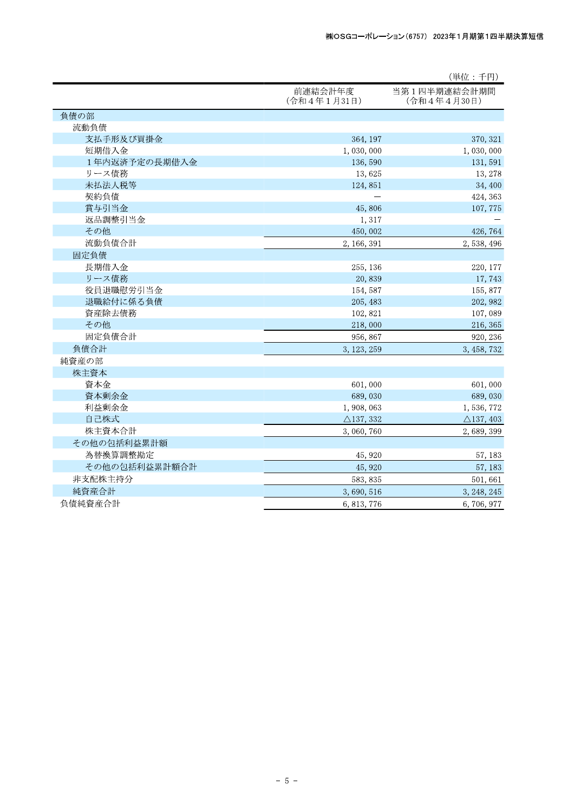|               |                        | (単位:千円)                     |
|---------------|------------------------|-----------------------------|
|               | 前連結会計年度<br>(令和4年1月31日) | 当第1四半期連結会計期間<br>(令和4年4月30日) |
| 負債の部          |                        |                             |
| 流動負債          |                        |                             |
| 支払手形及び買掛金     | 364, 197               | 370, 321                    |
| 短期借入金         | 1,030,000              | 1,030,000                   |
| 1年内返済予定の長期借入金 | 136,590                | 131, 591                    |
| リース債務         | 13,625                 | 13, 278                     |
| 未払法人税等        | 124,851                | 34, 400                     |
| 契約負債          |                        | 424, 363                    |
| 賞与引当金         | 45,806                 | 107, 775                    |
| 返品調整引当金       | 1,317                  |                             |
| その他           | 450,002                | 426, 764                    |
| 流動負債合計        | 2, 166, 391            | 2, 538, 496                 |
| 固定負債          |                        |                             |
| 長期借入金         | 255, 136               | 220, 177                    |
| リース債務         | 20,839                 | 17,743                      |
| 役員退職慰労引当金     | 154, 587               | 155, 877                    |
| 退職給付に係る負債     | 205, 483               | 202, 982                    |
| 資産除去債務        | 102, 821               | 107,089                     |
| その他           | 218,000                | 216, 365                    |
| 固定負債合計        | 956, 867               | 920, 236                    |
| 負債合計          | 3, 123, 259            | 3, 458, 732                 |
| 純資産の部         |                        |                             |
| 株主資本          |                        |                             |
| 資本金           | 601,000                | 601,000                     |
| 資本剰余金         | 689,030                | 689,030                     |
| 利益剰余金         | 1,908,063              | 1,536,772                   |
| 自己株式          | $\triangle$ 137, 332   | $\triangle$ 137, 403        |
| 株主資本合計        | 3,060,760              | 2,689,399                   |
| その他の包括利益累計額   |                        |                             |
| 為替換算調整勘定      | 45, 920                | 57, 183                     |
| その他の包括利益累計額合計 | 45, 920                | 57, 183                     |
| 非支配株主持分       | 583, 835               | 501,661                     |
| 純資産合計         | 3,690,516              | 3, 248, 245                 |
| 負債純資産合計       | 6, 813, 776            | 6,706,977                   |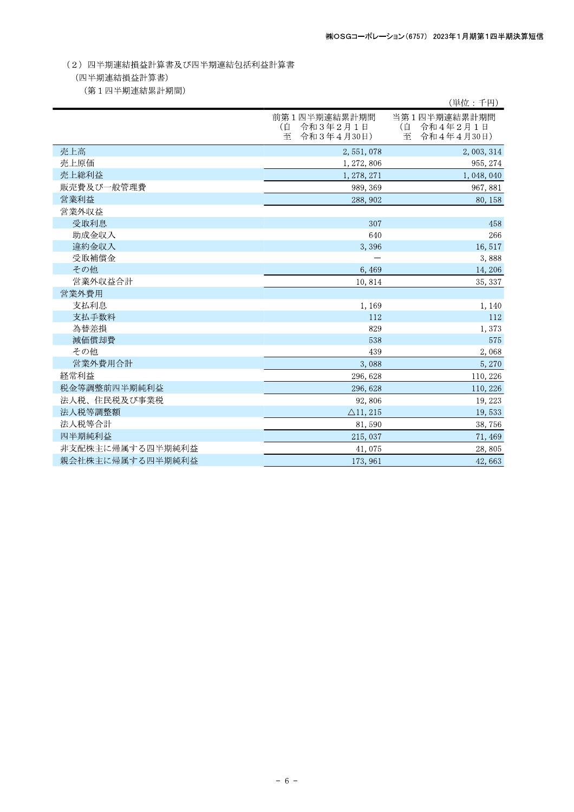(2) 四半期連結損益計算書及び四半期連結包括利益計算書

(四半期連結損益計算書)

(第1四半期連結累計期間)

|                  |                                                   | (単位:千円)                                           |
|------------------|---------------------------------------------------|---------------------------------------------------|
|                  | 前第1四半期連結累計期間<br>令和3年2月1日<br>(自<br>至<br>令和3年4月30日) | 当第1四半期連結累計期間<br>(自<br>令和4年2月1日<br>至<br>令和4年4月30日) |
| 売上高              | 2, 551, 078                                       | 2, 003, 314                                       |
| 売上原価             | 1, 272, 806                                       | 955, 274                                          |
| 売上総利益            | 1, 278, 271                                       | 1,048,040                                         |
| 販売費及び一般管理費       | 989, 369                                          | 967,881                                           |
| 営業利益             | 288, 902                                          | 80, 158                                           |
| 営業外収益            |                                                   |                                                   |
| 受取利息             | 307                                               | 458                                               |
| 助成金収入            | 640                                               | 266                                               |
| 違約金収入            | 3,396                                             | 16, 517                                           |
| 受取補償金            |                                                   | 3,888                                             |
| その他              | 6,469                                             | 14, 206                                           |
| 営業外収益合計          | 10,814                                            | 35, 337                                           |
| 営業外費用            |                                                   |                                                   |
| 支払利息             | 1,169                                             | 1,140                                             |
| 支払手数料            | 112                                               | 112                                               |
| 為替差損             | 829                                               | 1,373                                             |
| 減価償却費            | 538                                               | 575                                               |
| その他              | 439                                               | 2,068                                             |
| 営業外費用合計          | 3,088                                             | 5,270                                             |
| 経常利益             | 296, 628                                          | 110, 226                                          |
| 税金等調整前四半期純利益     | 296, 628                                          | 110, 226                                          |
| 法人税、住民税及び事業税     | 92,806                                            | 19, 223                                           |
| 法人税等調整額          | $\triangle$ 11, 215                               | 19,533                                            |
| 法人税等合計           | 81,590                                            | 38,756                                            |
| 四半期純利益           | 215, 037                                          | 71,469                                            |
| 非支配株主に帰属する四半期純利益 | 41,075                                            | 28,805                                            |
| 親会社株主に帰属する四半期純利益 | 173, 961                                          | 42,663                                            |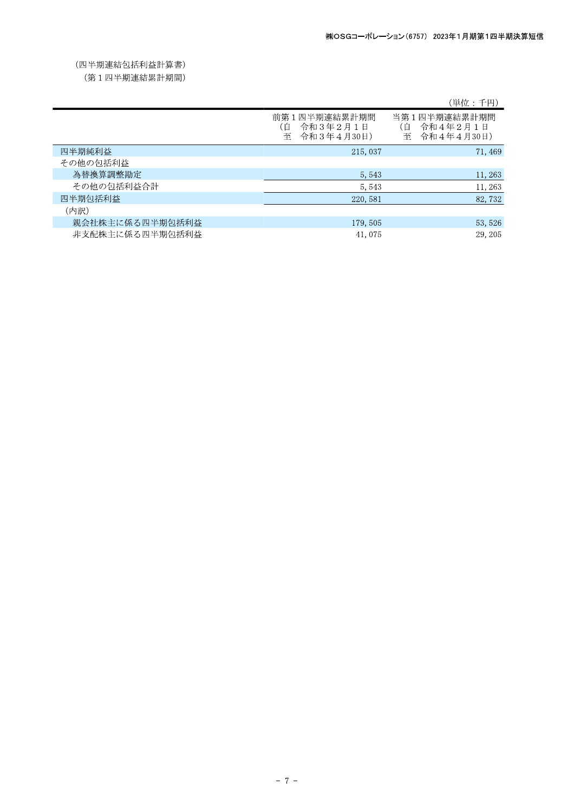## (四半期連結包括利益計算書) (第1四半期連結累計期間)

|                 |                                                  | (単位:千円)                                          |
|-----------------|--------------------------------------------------|--------------------------------------------------|
|                 | 前第1四半期連結累計期間<br>令和3年2月1日<br>Έ<br>令和3年4月30日)<br>至 | 当第1四半期連結累計期間<br>令和4年2月1日<br>旧<br>至<br>令和4年4月30日) |
| 四半期純利益          | 215, 037                                         | 71, 469                                          |
| その他の包括利益        |                                                  |                                                  |
| 為替換算調整勘定        | 5.543                                            | 11, 263                                          |
| その他の包括利益合計      | 5.543                                            | 11, 263                                          |
| 四半期包括利益         | 220, 581                                         | 82,732                                           |
| (内訳)            |                                                  |                                                  |
| 親会社株主に係る四半期包括利益 | 179, 505                                         | 53, 526                                          |
| 非支配株主に係る四半期包括利益 | 41,075                                           | 29, 205                                          |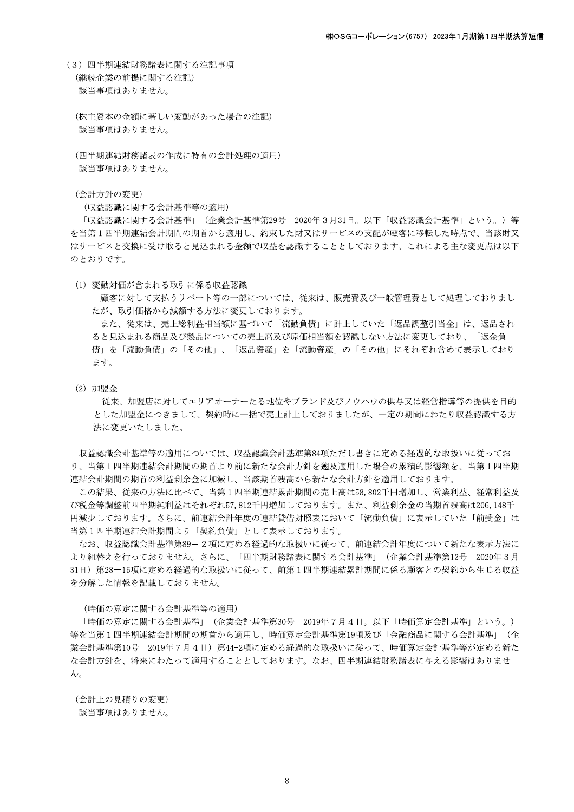(3) 四半期連結財務諸表に関する注記事項 (継続企業の前提に関する注記) 該当事項はありません。

(株主資本の金額に著しい変動があった場合の注記) 該当事項はありません。

(四半期連結財務諸表の作成に特有の会計処理の適用) 該当事項はありません。

(会計方針の変更)

(収益認識に関する会計基準等の適用)

「収益認識に関する会計基準」(企業会計基準第29号 2020年3月31日。以下「収益認識会計基準」という。)等 を当第1四半期連結会計期間の期首から適用し、約束した財又はサービスの支配が顧客に移転した時点で、当該財又 はサービスと交換に受け取ると見込まれる金額で収益を認識することとしております。これによる主な変更点は以下 のとおりです。

(1) 変動対価が含まれる取引に係る収益認識

顧客に対して支払うリベート等の一部については、従来は、販売費及び一般管理費として処理しておりまし たが、取引価格から減額する方法に変更しております。

また、従来は、売上総利益相当額に基づいて「流動負債」に計上していた「返品調整引当金」は、返品され ると見込まれる商品及び製品についての売上高及び原価相当額を認識しない方法に変更しており、「返金負 債」を「流動負債」の「その他」、「返品資産」を「流動資産」の「その他」にそれぞれ含めて表示しており ます。

(2) 加盟金

従来、加盟店に対してエリアオーナーたる地位やブランド及びノウハウの供与又は経営指導等の提供を目的 とした加盟金につきまして、契約時に一括で売上計上しておりましたが、一定の期間にわたり収益認識する方 法に変更いたしました。

収益認識会計基準等の適用については、収益認識会計基準第84項ただし書きに定める経過的な取扱いに従ってお り、当第1四半期連結会計期間の期首より前に新たな会計方針を遡及適用した場合の累積的影響額を、当第1四半期 連結会計期間の期首の利益剰余金に加減し、当該期首残高から新たな会計方針を適用しております。

この結果、従来の方法に比べて、当第1四半期連結累計期間の売上高は58,802千円増加し、営業利益、経常利益及 び税金等調整前四半期純利益はそれぞれ57,812千円増加しております。また、利益剰余金の当期首残高は206,148千 円減少しております。さらに、前連結会計年度の連結貸借対照表において「流動負債」に表示していた「前受金」は 当第1四半期連結会計期間より「契約負債」として表示しております。

なお、収益認識会計基準第89-2項に定める経過的な取扱いに従って、前連結会計年度について新たな表示方法に より組替えを行っておりません。さらに、「四半期財務諸表に関する会計基準」(企業会計基準第12号 2020年3月 31日)第28-15項に定める経過的な取扱いに従って、前第1四半期連結累計期間に係る顧客との契約から生じる収益 を分解した情報を記載しておりません。

(時価の算定に関する会計基準等の適用)

「時価の算定に関する会計基準」(企業会計基準第30号 2019年7月4日。以下「時価算定会計基準」という。) 等を当第1四半期連結会計期間の期首から適用し、時価算定会計基準第19項及び「金融商品に関する会計基準」(企 業会計基準第10号 2019年7月4日)第44-2項に定める経過的な取扱いに従って、時価算定会計基準等が定める新た な会計方針を、将来にわたって適用することとしております。なお、四半期連結財務諸表に与える影響はありませ  $\lambda_{1}$ 

(会計上の見積りの変更) 該当事項はありません。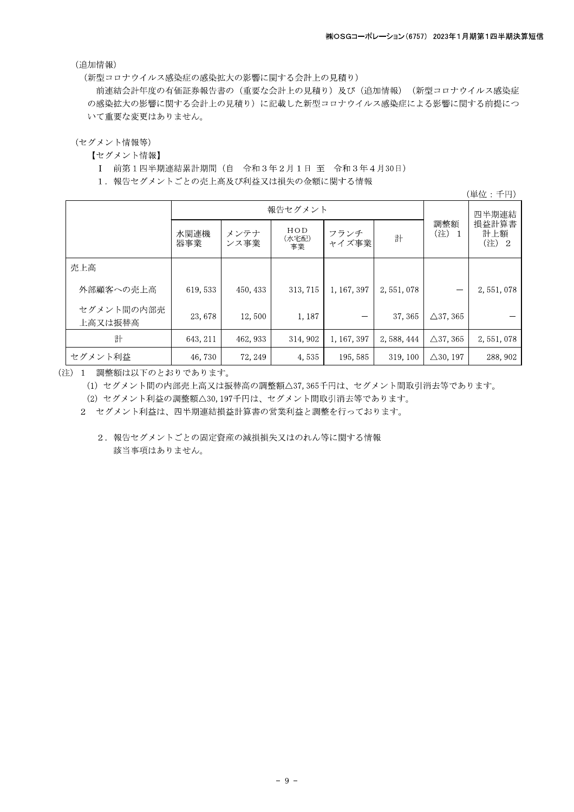(追加情報)

(新型コロナウイルス感染症の感染拡大の影響に関する会計上の見積り)

前連結会計年度の有価証券報告書の(重要な会計上の見積り)及び(追加情報) (新型コロナウイルス感染症 の感染拡大の影響に関する会計上の見積り)に記載した新型コロナウイルス感染症による影響に関する前提につ いて重要な変更はありません。

(セグメント情報等)

【セグメント情報】

I 前第1四半期連結累計期間 (自 令和3年2月1日 至 令和3年4月30日)

1. 報告セグメントごとの売上高及び利益又は損失の金額に関する情報

|                       |             |              |                    |               |           |                     | (単位:千円)               |
|-----------------------|-------------|--------------|--------------------|---------------|-----------|---------------------|-----------------------|
|                       | 報告セグメント     |              |                    |               |           |                     | 四半期連結                 |
|                       | 水関連機<br>器事業 | メンテナ<br>ンス事業 | HOD<br>(水宅配)<br>事業 | フランチ<br>ャイズ事業 | 計         | 調整額<br>(注)          | 損益計算書<br>計上額<br>(注) 2 |
| 売上高                   |             |              |                    |               |           |                     |                       |
| 外部顧客への売上高             | 619, 533    | 450, 433     | 313, 715           | 1, 167, 397   | 2,551,078 |                     | 2, 551, 078           |
| セグメント間の内部売<br>上高又は振替高 | 23,678      | 12,500       | 1,187              |               | 37, 365   | $\triangle$ 37, 365 |                       |
| 計                     | 643, 211    | 462, 933     | 314, 902           | 1, 167, 397   | 2,588,444 | $\triangle$ 37, 365 | 2, 551, 078           |
| セグメント利益               | 46,730      | 72, 249      | 4,535              | 195, 585      | 319, 100  | $\triangle$ 30, 197 | 288, 902              |

(注) 1 調整額は以下のとおりであります。

(1) セグメント間の内部売上高又は振替高の調整額△37,365千円は、セグメント間取引消去等であります。

(2) セグメント利益の調整額△30,197千円は、セグメント間取引消去等であります。

2 セグメント利益は、四半期連結損益計算書の営業利益と調整を行っております。

2. 報告セグメントごとの固定資産の減損損失又はのれん等に関する情報 該当事項はありません。